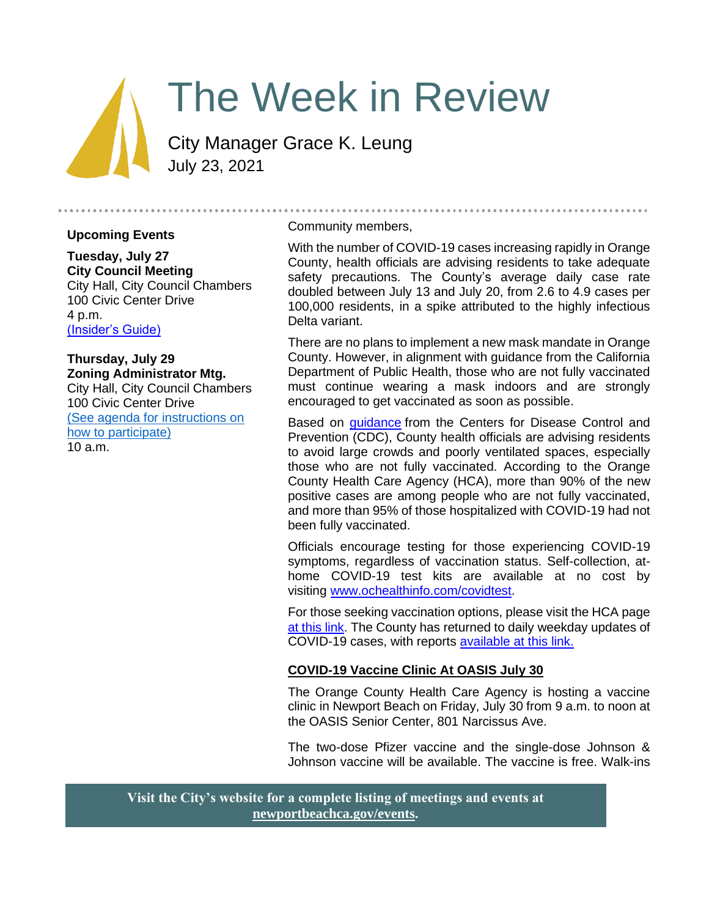# The Week in Review

City Manager Grace K. Leung July 23, 2021

#### **Upcoming Events**

**Tuesday, July 27 City Council Meeting** City Hall, City Council Chambers 100 Civic Center Drive 4 p.m. [\(Insider's Guide\)](#page-2-0)

#### **Thursday, July 29 Zoning Administrator Mtg.**

City Hall, City Council Chambers 100 Civic Center Drive [\(See agenda for instructions on](https://www.newportbeachca.gov/government/departments/community-development/planning-division/zoning-administrator)  [how to participate\)](https://www.newportbeachca.gov/government/departments/community-development/planning-division/zoning-administrator) 10 a.m.

#### Community members,

With the number of COVID-19 cases increasing rapidly in Orange County, health officials are advising residents to take adequate safety precautions. The County's average daily case rate doubled between July 13 and July 20, from 2.6 to 4.9 cases per 100,000 residents, in a spike attributed to the highly infectious Delta variant.

There are no plans to implement a new mask mandate in Orange County. However, in alignment with guidance from the California Department of Public Health, those who are not fully vaccinated must continue wearing a mask indoors and are strongly encouraged to get vaccinated as soon as possible.

Based on *guidance* from the Centers for Disease Control and Prevention (CDC), County health officials are advising residents to avoid large crowds and poorly ventilated spaces, especially those who are not fully vaccinated. According to the Orange County Health Care Agency (HCA), more than 90% of the new positive cases are among people who are not fully vaccinated, and more than 95% of those hospitalized with COVID-19 had not been fully vaccinated.

Officials encourage testing for those experiencing COVID-19 symptoms, regardless of vaccination status. Self-collection, athome COVID-19 test kits are available at no cost by visiting [www.ochealthinfo.com/covidtest.](http://www.ochealthinfo.com/covidtest)

For those seeking vaccination options, please visit the HCA page [at this link.](https://occovid19.ochealthinfo.com/covid-19-vaccine-distribution-channels) The County has returned to daily weekday updates of COVID-19 cases, with reports [available at this link.](https://ochca.maps.arcgis.com/apps/dashboards/cc4859c8c522496b9f21c451de2fedae)

#### **COVID-19 Vaccine Clinic At OASIS July 30**

The Orange County Health Care Agency is hosting a vaccine clinic in Newport Beach on Friday, July 30 from 9 a.m. to noon at the OASIS Senior Center, 801 Narcissus Ave.

The two-dose Pfizer vaccine and the single-dose Johnson & Johnson vaccine will be available. The vaccine is free. Walk-ins

**Visit the City's website for a complete listing of meetings and events at [newportbeachca.gov/events.](https://www.newportbeachca.gov/government/data-hub/city-calendar)**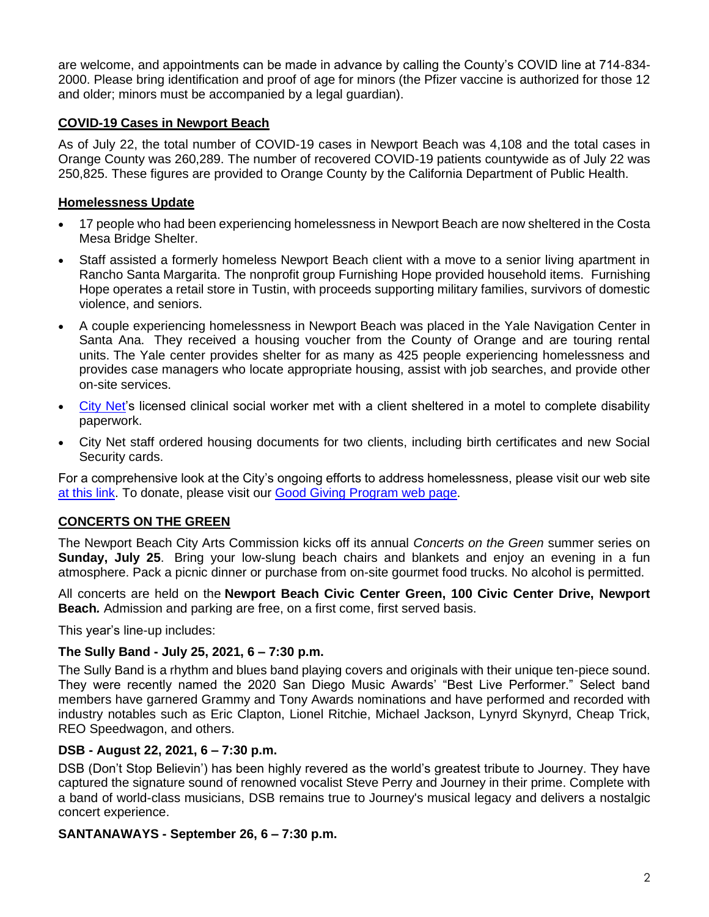are welcome, and appointments can be made in advance by calling the County's COVID line at 714-834- 2000. Please bring identification and proof of age for minors (the Pfizer vaccine is authorized for those 12 and older; minors must be accompanied by a legal guardian).

## **COVID-19 Cases in Newport Beach**

As of July 22, the total number of COVID-19 cases in Newport Beach was 4,108 and the total cases in Orange County was 260,289. The number of recovered COVID-19 patients countywide as of July 22 was 250,825. These figures are provided to Orange County by the California Department of Public Health.

# **Homelessness Update**

- 17 people who had been experiencing homelessness in Newport Beach are now sheltered in the Costa Mesa Bridge Shelter.
- Staff assisted a formerly homeless Newport Beach client with a move to a senior living apartment in Rancho Santa Margarita. The nonprofit group Furnishing Hope provided household items. Furnishing Hope operates a retail store in Tustin, with proceeds supporting military families, survivors of domestic violence, and seniors.
- A couple experiencing homelessness in Newport Beach was placed in the Yale Navigation Center in Santa Ana. They received a housing voucher from the County of Orange and are touring rental units. The Yale center provides shelter for as many as 425 people experiencing homelessness and provides case managers who locate appropriate housing, assist with job searches, and provide other on-site services.
- [City Net's](https://citynet.org/) licensed clinical social worker met with a client sheltered in a motel to complete disability paperwork.
- City Net staff ordered housing documents for two clients, including birth certificates and new Social Security cards.

For a comprehensive look at the City's ongoing efforts to address homelessness, please visit our web site [at this link.](https://www.newportbeachca.gov/trending/community-issues/homelessness) To donate, please visit our [Good Giving Program](https://newportbeachca.gov/trending/community-issues/homelessness/how-you-can-help) web page.

# **CONCERTS ON THE GREEN**

The Newport Beach City Arts Commission kicks off its annual *Concerts on the Green* summer series on **Sunday, July 25**. Bring your low-slung beach chairs and blankets and enjoy an evening in a fun atmosphere. Pack a picnic dinner or purchase from on-site gourmet food trucks. No alcohol is permitted.

All concerts are held on the **Newport Beach Civic Center Green, 100 Civic Center Drive, Newport Beach***.* Admission and parking are free, on a first come, first served basis.

This year's line-up includes:

## **The Sully Band - July 25, 2021, 6 – 7:30 p.m.**

The Sully Band is a rhythm and blues band playing covers and originals with their unique ten-piece sound. They were recently named the 2020 San Diego Music Awards' "Best Live Performer." Select band members have garnered Grammy and Tony Awards nominations and have performed and recorded with industry notables such as Eric Clapton, Lionel Ritchie, Michael Jackson, Lynyrd Skynyrd, Cheap Trick, REO Speedwagon, and others.

## **DSB - August 22, 2021, 6 – 7:30 p.m.**

DSB (Don't Stop Believin') has been highly revered as the world's greatest tribute to Journey. They have captured the signature sound of renowned vocalist Steve Perry and Journey in their prime. Complete with a band of world-class musicians, DSB remains true to Journey's musical legacy and delivers a nostalgic concert experience.

## **SANTANAWAYS - September 26, 6 – 7:30 p.m.**